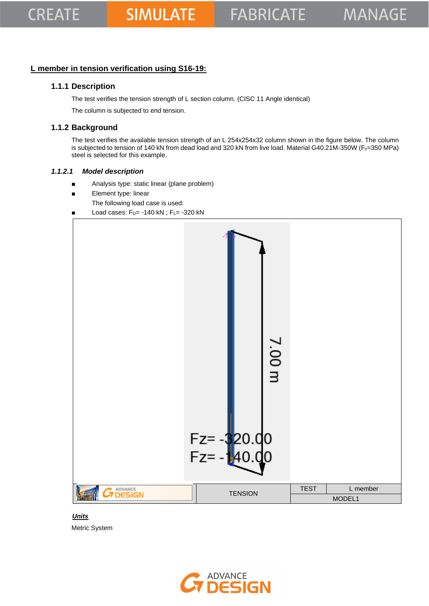### **L member in tension verification using S16-19:**

### **1.1.1 Description**

The test verifies the tension strength of L section column. (CISC 11 Angle identical)

The column is subjected to end tension.

### **1.1.2 Background**

The test verifies the available tension strength of an L 254x254x32 column shown in the figure below. The column is subjected to tension of 140 kN from dead load and 320 kN from live load. Material G40.21M-350W (Fy=350 MPa) steel is selected for this example.

#### *1.1.2.1 Model description*

- Analysis type: static linear (plane problem)
- Element type: linear
	- The following load case is used:
- Load cases:  $F_D$  = -140 kN ;  $F_L$  = -320 kN



 *Units* Metric System

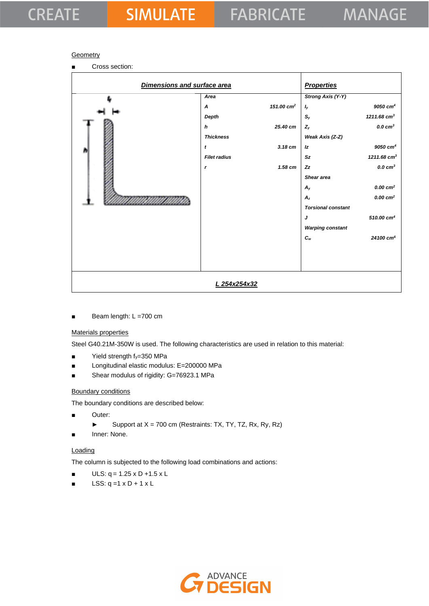## **CREATE**

### **Geometry**

■ Cross section:

| Dimensions and surface area | <b>Properties</b>   |                        |                           |                           |
|-----------------------------|---------------------|------------------------|---------------------------|---------------------------|
| ٠                           | Area                |                        | <b>Strong Axis (Y-Y)</b>  |                           |
|                             | $\boldsymbol{A}$    | 151.00 cm <sup>2</sup> | <b>l</b> y                | $9050$ $cm4$              |
|                             | Depth               |                        | $\mathbb{S}_y$            | $1211.68$ cm <sup>3</sup> |
|                             | $\boldsymbol{h}$    | 25.40 cm               | $Z_{y}$                   | $0.0 \text{ cm}^3$        |
|                             | <b>Thickness</b>    |                        | Weak Axis (Z-Z)           |                           |
|                             | $\pmb{t}$           | $3.18$ cm              | Iz                        | $9050$ $cm4$              |
|                             | <b>Filet radius</b> |                        | Sz                        | $1211.68$ cm <sup>3</sup> |
|                             | $\mathbf{r}$        | $1.58$ cm              | Zz                        | $0.0 \text{ cm}^3$        |
|                             |                     |                        | Shear area                |                           |
|                             |                     |                        | $A_{y}$                   | $0.00 \text{ cm}^2$       |
|                             |                     |                        | $A_z$                     | $0.00 \text{ cm}^2$       |
|                             |                     |                        | <b>Torsional constant</b> |                           |
|                             |                     |                        | J                         | $510.00 \text{ cm}^4$     |
|                             |                     |                        | <b>Warping constant</b>   |                           |
|                             |                     |                        | $c_{w}$                   | 24100 cm <sup>6</sup>     |
|                             |                     |                        |                           |                           |
|                             |                     |                        |                           |                           |
|                             |                     |                        |                           |                           |
|                             | L 254x254x32        |                        |                           |                           |

Beam length: L =700 cm

### Materials properties

Steel G40.21M-350W is used. The following characteristics are used in relation to this material:

- $\blacksquare$  Yield strength  $f_y=350$  MPa
- Longitudinal elastic modulus: E=200000 MPa
- Shear modulus of rigidity: G=76923.1 MPa

#### Boundary conditions

The boundary conditions are described below:

- Outer:
	- ► Support at  $X = 700$  cm (Restraints: TX, TY, TZ, Rx, Ry, Rz)
- Inner: None.

#### **Loading**

The column is subjected to the following load combinations and actions:

- $ULS: q = 1.25 \times D + 1.5 \times L$
- $\blacksquare$  LSS: q =1 x D + 1 x L

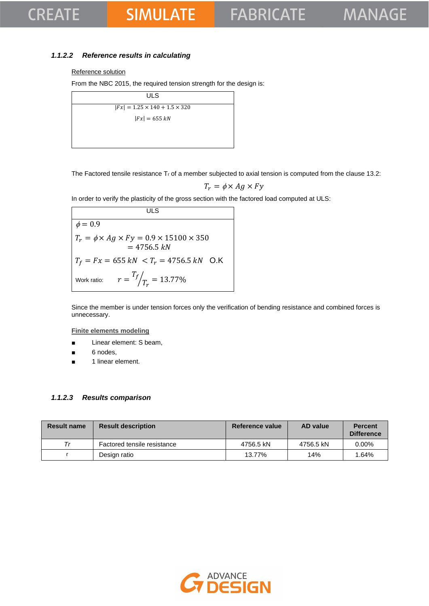## **CREATE**

# **SIMULATE**

### *1.1.2.2 Reference results in calculating*

### Reference solution

From the NBC 2015, the required tension strength for the design is:

| ULS                                       |  |
|-------------------------------------------|--|
| $ Fx  = 1.25 \times 140 + 1.5 \times 320$ |  |
| $ Fx  = 655 kN$                           |  |
|                                           |  |
|                                           |  |

The Factored tensile resistance  $T_r$  of a member subjected to axial tension is computed from the clause 13.2:

$$
T_r = \phi \times Ag \times Fy
$$

In order to verify the plasticity of the gross section with the factored load computed at ULS:

**ULS**  $\phi = 0.\overline{9}$  $T_r = \phi \times Ag \times Fy = 0.9 \times 15100 \times 350$  $= 4756.5 kN$  $T_f = Fx = 655 kN < T_r = 4756.5 kN$  O.K Work ratio:  $T_f$  $\sqrt{T_r} = 13.77\%$ 

Since the member is under tension forces only the verification of bending resistance and combined forces is unnecessary.

**Finite elements modeling**

- Linear element: S beam,
- 6 nodes,
- 1 linear element.

#### *1.1.2.3 Results comparison*

| <b>Result name</b> | <b>Result description</b>   | Reference value | AD value  | <b>Percent</b><br><b>Difference</b> |
|--------------------|-----------------------------|-----------------|-----------|-------------------------------------|
| Tr                 | Factored tensile resistance | 4756.5 kN       | 4756.5 kN | $0.00\%$                            |
|                    | Design ratio                | 13.77%          | 14%       | 1.64%                               |